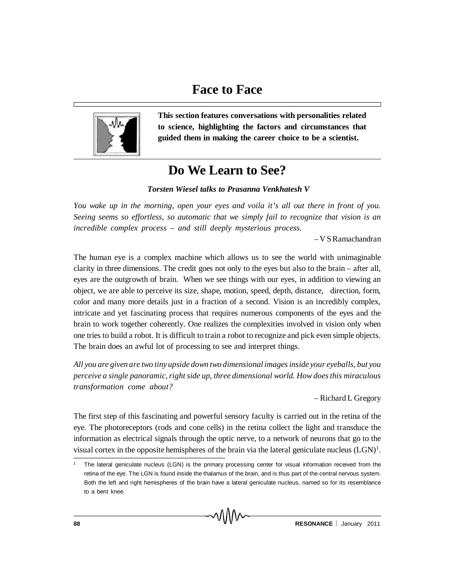# **Face to Face**



**This section features conversations with personalities related to science, highlighting the factors and circumstances that guided them in making the career choice to be a scientist.**

# **Do We Learn to See?**

*Torsten Wiesel talks to Prasanna Venkhatesh V*

*You wake up in the morning, open your eyes and voila it's all out there in front of you. Seeing seems so effortless, so automatic that we simply fail to recognize that vision is an incredible complex process – and still deeply mysterious process.*

– V S Ramachandran

The human eye is a complex machine which allows us to see the world with unimaginable clarity in three dimensions. The credit goes not only to the eyes but also to the brain – after all, eyes are the outgrowth of brain. When we see things with our eyes, in addition to viewing an object, we are able to perceive its size, shape, motion, speed, depth, distance, direction, form, color and many more details just in a fraction of a second. Vision is an incredibly complex, intricate and yet fascinating process that requires numerous components of the eyes and the brain to work together coherently. One realizes the complexities involved in vision only when one tries to build a robot. It is difficult to train a robot to recognize and pick even simple objects. The brain does an awful lot of processing to see and interpret things.

*All you are given are two tiny upside down two dimensional images inside your eyeballs, but you perceive a single panoramic, right side up, three dimensional world. How does this miraculous transformation come about?*

– Richard L Gregory

The first step of this fascinating and powerful sensory faculty is carried out in the retina of the eye. The photoreceptors (rods and cone cells) in the retina collect the light and transduce the information as electrical signals through the optic nerve, to a network of neurons that go to the visual cortex in the opposite hemispheres of the brain via the lateral geniculate nucleus  $(LGN)^1$ .

<sup>1</sup> The lateral geniculate nucleus (LGN) is the primary processing center for visual information received from the retina of the eye. The LGN is found inside the thalamus of the brain, and is thus part of the central nervous system. Both the left and right hemispheres of the brain have a lateral geniculate nucleus, named so for its resemblance to a bent knee.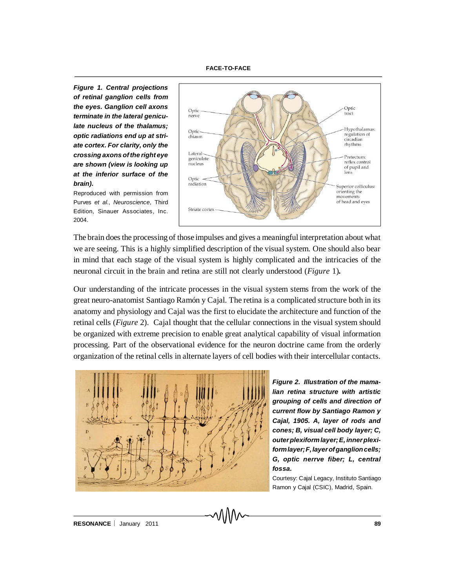*Figure 1. Central projections of retinal ganglion cells from the eyes. Ganglion cell axons terminate in the lateral geniculate nucleus of the thalamus; optic radiations end up at striate cortex. For clarity, only the crossing axons of the right eye are shown (view is looking up at the inferior surface of the brain).*

Reproduced with permission from Purves *et al*., *Neuroscience*, Third Edition, Sinauer Associates, Inc. 2004.



The brain does the processing of those impulses and gives a meaningful interpretation about what we are seeing. This is a highly simplified description of the visual system. One should also bear in mind that each stage of the visual system is highly complicated and the intricacies of the neuronal circuit in the brain and retina are still not clearly understood (*Figure* 1)*.*

Our understanding of the intricate processes in the visual system stems from the work of the great neuro-anatomist Santiago Ramón y Cajal. The retina is a complicated structure both in its anatomy and physiology and Cajal was the first to elucidate the architecture and function of the retinal cells (*Figure* 2). Cajal thought that the cellular connections in the visual system should be organized with extreme precision to enable great analytical capability of visual information processing. Part of the observational evidence for the neuron doctrine came from the orderly organization of the retinal cells in alternate layers of cell bodies with their intercellular contacts.



*Figure 2. Illustration of the mamalian retina structure with artistic grouping of cells and direction of current flow by Santiago Ramon y Cajal, 1905. A, layer of rods and cones; B, visual cell body layer; C, outerplexiformlayer;E, innerplexiformlayer;F,layerofganglion cells; G, optic nerrve fiber; L, central fossa.*

Courtesy: Cajal Legacy, Instituto Santiago Ramon y Cajal (CSIC), Madrid, Spain.

**RESONANCE** January 2011 **89**<br> **89**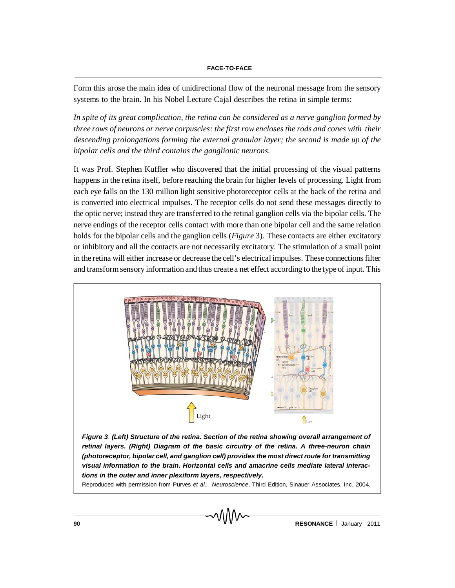Form this arose the main idea of unidirectional flow of the neuronal message from the sensory systems to the brain. In his Nobel Lecture Cajal describes the retina in simple terms:

*In spite of its great complication, the retina can be considered as a nerve ganglion formed by three rows of neurons or nerve corpuscles: the first row encloses the rods and cones with their descending prolongations forming the external granular layer; the second is made up of the bipolar cells and the third contains the ganglionic neurons.*

It was Prof. Stephen Kuffler who discovered that the initial processing of the visual patterns happens in the retina itself, before reaching the brain for higher levels of processing. Light from each eye falls on the 130 million light sensitive photoreceptor cells at the back of the retina and is converted into electrical impulses. The receptor cells do not send these messages directly to the optic nerve; instead they are transferred to the retinal ganglion cells via the bipolar cells. The nerve endings of the receptor cells contact with more than one bipolar cell and the same relation holds for the bipolar cells and the ganglion cells (*Figure* 3). These contacts are either excitatory or inhibitory and all the contacts are not necessarily excitatory. The stimulation of a small point in the retina will either increase or decrease the cell's electrical impulses. These connections filter and transform sensory information and thus create a net effect according to the type of input. This



*Figure 3*. *(Left) Structure of the retina. Section of the retina showing overall arrangement of retinal layers. (Right) Diagram of the basic circuitry of the retina. A three-neuron chain (photoreceptor, bipolar cell, and ganglion cell) provides the most direct route for transmitting visual information to the brain. Horizontal cells and amacrine cells mediate lateral interactions in the outer and inner plexiform layers, respectively.*

Reproduced with permission from Purves *et al*., *Neuroscience*, Third Edition, Sinauer Associates, Inc. 2004.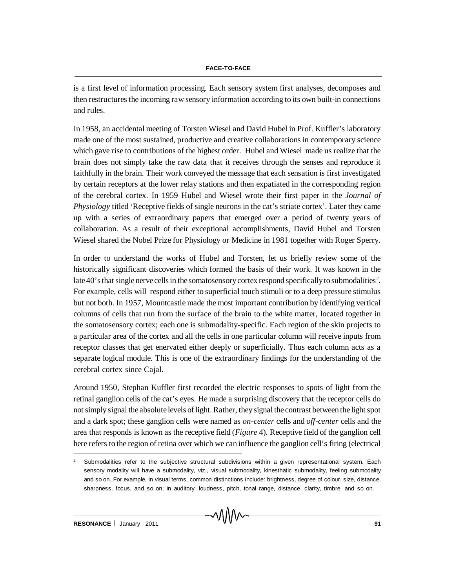is a first level of information processing. Each sensory system first analyses, decomposes and then restructures the incoming raw sensory information according to its own built-in connections and rules.

In 1958, an accidental meeting of Torsten Wiesel and David Hubel in Prof. Kuffler's laboratory made one of the most sustained, productive and creative collaborations in contemporary science which gave rise to contributions of the highest order. Hubel and Wiesel made us realize that the brain does not simply take the raw data that it receives through the senses and reproduce it faithfully in the brain. Their work conveyed the message that each sensation is first investigated by certain receptors at the lower relay stations and then expatiated in the corresponding region of the cerebral cortex. In 1959 Hubel and Wiesel wrote their first paper in the *Journal of Physiology* titled 'Receptive fields of single neurons in the cat's striate cortex'. Later they came up with a series of extraordinary papers that emerged over a period of twenty years of collaboration. As a result of their exceptional accomplishments, David Hubel and Torsten Wiesel shared the Nobel Prize for Physiology or Medicine in 1981 together with Roger Sperry.

In order to understand the works of Hubel and Torsten, let us briefly review some of the historically significant discoveries which formed the basis of their work. It was known in the late 40's that single nerve cells in the somatosensory cortex respond specifically to submodalities<sup>2</sup>. For example, cells will respond either to superficial touch stimuli or to a deep pressure stimulus but not both. In 1957, Mountcastle made the most important contribution by identifying vertical columns of cells that run from the surface of the brain to the white matter, located together in the somatosensory cortex; each one is submodality-specific. Each region of the skin projects to a particular area of the cortex and all the cells in one particular column will receive inputs from receptor classes that get enervated either deeply or superficially. Thus each column acts as a separate logical module. This is one of the extraordinary findings for the understanding of the cerebral cortex since Cajal.

Around 1950, Stephan Kuffler first recorded the electric responses to spots of light from the retinal ganglion cells of the cat's eyes. He made a surprising discovery that the receptor cells do not simply signal the absolute levels of light. Rather, they signal the contrast between the light spot and a dark spot; these ganglion cells were named as *on-center* cells and *off-center* cells and the area that responds is known as the receptive field (*Figure* 4). Receptive field of the ganglion cell here refers to the region of retina over which we can influence the ganglion cell's firing (electrical

<sup>&</sup>lt;sup>2</sup> Submodalities refer to the subjective structural subdivisions within a given representational system. Each sensory modality will have a submodality, viz., visual submodality, kinesthatic submodality, feeling submodality and so on. For example, in visual terms, common distinctions include: brightness, degree of colour, size, distance, sharpness, focus, and so on; in auditory: loudness, pitch, tonal range, distance, clarity, timbre, and so on.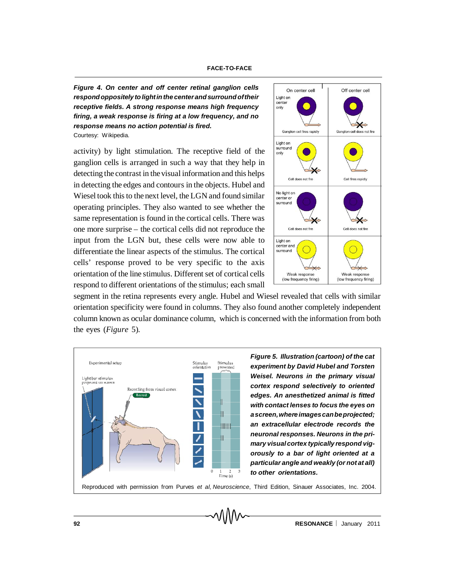*Figure 4. On center and off center retinal ganglion cells respond oppositely to lightin the centerand surround oftheir receptive fields. A strong response means high frequency firing, a weak response is firing at a low frequency, and no response means no action potential is fired.* Courtesy: Wikipedia.

activity) by light stimulation. The receptive field of the  $\int_{\text{only}}^{\text{surround}}$ ganglion cells is arranged in such a way that they help in detecting the contrast in thevisual information and this helps in detecting the edges and contours in the objects. Hubel and Wiesel took this to the next level, the LGN and found similar operating principles. They also wanted to see whether the same representation is found in the cortical cells. There was one more surprise – the cortical cells did not reproduce the input from the LGN but, these cells were now able to  $\Big|_{\text{center} \atop \text{center} }$ differentiate the linear aspects of the stimulus. The cortical cells' response proved to be very specific to the axis orientation of the line stimulus. Different set of cortical cells respond to different orientations of the stimulus; each small



segment in the retina represents every angle. Hubel and Wiesel revealed that cells with similar orientation specificity were found in columns. They also found another completely independent column known as ocular dominance column, which is concerned with the information from both the eyes (*Figure* 5)*.*



Reproduced with permission from Purves *et al*, *Neuroscience*, Third Edition, Sinauer Associates, Inc. 2004.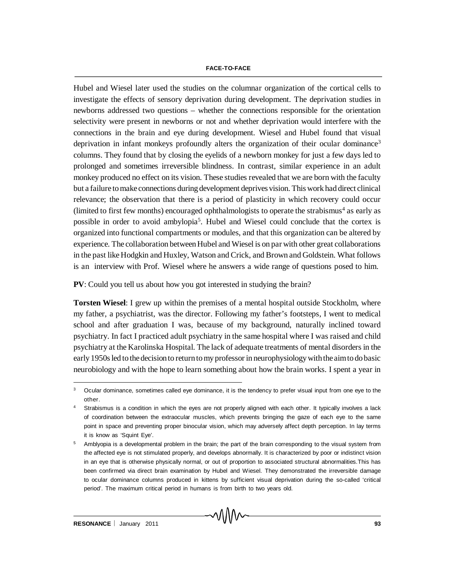Hubel and Wiesel later used the studies on the columnar organization of the cortical cells to investigate the effects of sensory deprivation during development. The deprivation studies in newborns addressed two questions – whether the connections responsible for the orientation selectivity were present in newborns or not and whether deprivation would interfere with the connections in the brain and eye during development. Wiesel and Hubel found that visual deprivation in infant monkeys profoundly alters the organization of their ocular dominance<sup>3</sup> columns. They found that by closing the eyelids of a newborn monkey for just a few days led to prolonged and sometimes irreversible blindness. In contrast, similar experience in an adult monkey produced no effect on its vision. These studies revealed that we are born with the faculty but a failure to make connections during development deprives vision. This work had direct clinical relevance; the observation that there is a period of plasticity in which recovery could occur (limited to first few months) encouraged ophthalmologists to operate the strabismus<sup>4</sup> as early as possible in order to avoid ambylopia<sup>5</sup>. Hubel and Wiesel could conclude that the cortex is organized into functional compartments or modules, and that this organization can be altered by experience. The collaboration between Hubel and Wiesel is on par with other great collaborations in the past like Hodgkin and Huxley, Watson and Crick, and Brown and Goldstein. What follows is an interview with Prof. Wiesel where he answers a wide range of questions posed to him.

**PV**: Could you tell us about how you got interested in studying the brain?

**Torsten Wiesel**: I grew up within the premises of a mental hospital outside Stockholm, where my father, a psychiatrist, was the director. Following my father's footsteps, I went to medical school and after graduation I was, because of my background, naturally inclined toward psychiatry. In fact I practiced adult psychiatry in the same hospital where I was raised and child psychiatry at the Karolinska Hospital. The lack of adequate treatments of mental disorders in the early 1950s led to thedecision to return to my professor in neurophysiology with theaimto do basic neurobiology and with the hope to learn something about how the brain works. I spent a year in

Ocular dominance, sometimes called eye dominance, it is the tendency to prefer visual input from one eye to the other.

<sup>4</sup> Strabismus is a condition in which the eyes are not properly aligned with each other. It typically involves a lack of coordination between the extraocular muscles, which prevents bringing the gaze of each eye to the same point in space and preventing proper binocular vision, which may adversely affect depth perception. In lay terms it is know as 'Squint Eye'.

<sup>5</sup> Amblyopia is a developmental problem in the brain; the part of the brain corresponding to the visual system from the affected eye is not stimulated properly, and develops abnormally. It is characterized by poor or indistinct vision in an eye that is otherwise physically normal, or out of proportion to associated structural abnormalities.This has been confirmed via direct brain examination by Hubel and Wiesel. They demonstrated the irreversible damage to ocular dominance columns produced in kittens by sufficient visual deprivation during the so-called 'critical period'. The maximum critical period in humans is from birth to two years old.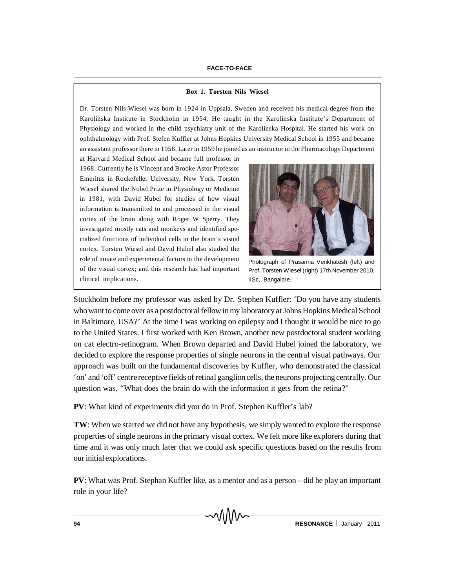#### **Box 1. Torsten Nils Wiesel**

Dr. Torsten Nils Wiesel was born in 1924 in Uppsala, Sweden and received his medical degree from the Karolinska Institute in Stockholm in 1954. He taught in the Karolinska Institute's Department of Physiology and worked in the child psychiatry unit of the Karolinska Hospital. He started his work on ophthalmology with Prof. Stefen Kuffler at Johns Hopkins University Medical School in 1955 and became an assistant professor there in 1958. Later in 1959 he joined as an instructor in the Pharmacology Department

at Harvard Medical School and became full professor in 1968. Currently he is Vincent and Brooke Astor Professor Emeritus in Rockefeller University, New York. Torsten Wiesel shared the Nobel Prize in Physiology or Medicine in 1981, with David Hubel for studies of how visual information is transmitted to and processed in the visual cortex of the brain along with Roger W Sperry. They investigated mostly cats and monkeys and identified specialized functions of individual cells in the brain's visual cortex. Torsten Wiesel and David Hubel also studied the role of innate and experimental factors in the development of the visual cortex; and this research has had important clinical implications.



Photograph of Prasanna Venkhatesh (left) and Prof. Torsten Wiesel (right) 17th November 2010, IISc, Bangalore.

Stockholm before my professor was asked by Dr. Stephen Kuffler: 'Do you have any students who want to come over as a postdoctoral fellow in my laboratory at Johns Hopkins Medical School in Baltimore, USA?' At the time I was working on epilepsy and I thought it would be nice to go to the United States. I first worked with Ken Brown, another new postdoctoral student working on cat electro-retinogram. When Brown departed and David Hubel joined the laboratory, we decided to explore the response properties of single neurons in the central visual pathways. Our approach was built on the fundamental discoveries by Kuffler, who demonstrated the classical 'on' and 'off' centrereceptivefields of retinal ganglion cells, the neurons projecting centrally. Our question was, "What does the brain do with the information it gets from the retina?"

**PV**: What kind of experiments did you do in Prof. Stephen Kuffler's lab?

**TW**: When we started we did not have any hypothesis, we simply wanted to explore the response properties of single neurons in the primary visual cortex. We felt more like explorers during that time and it was only much later that we could ask specific questions based on the results from our initialexplorations.

**PV**: What was Prof. Stephan Kuffler like, as a mentor and as a person – did he play an important role in your life?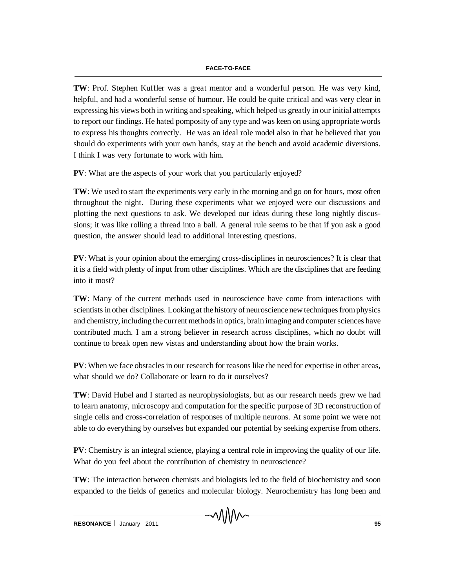**TW**: Prof. Stephen Kuffler was a great mentor and a wonderful person. He was very kind, helpful, and had a wonderful sense of humour. He could be quite critical and was very clear in expressing his views both in writing and speaking, which helped us greatly in our initial attempts to report our findings. He hated pomposity of any type and was keen on using appropriate words to express his thoughts correctly. He was an ideal role model also in that he believed that you should do experiments with your own hands, stay at the bench and avoid academic diversions. I think I was very fortunate to work with him.

**PV**: What are the aspects of your work that you particularly enjoyed?

**TW**: We used to start the experiments very early in the morning and go on for hours, most often throughout the night. During these experiments what we enjoyed were our discussions and plotting the next questions to ask. We developed our ideas during these long nightly discussions; it was like rolling a thread into a ball. A general rule seems to be that if you ask a good question, the answer should lead to additional interesting questions.

**PV**: What is your opinion about the emerging cross-disciplines in neurosciences? It is clear that it is a field with plenty of input from other disciplines. Which are the disciplines that are feeding into it most?

**TW**: Many of the current methods used in neuroscience have come from interactions with scientists in other disciplines. Looking at the history of neuroscience new techniques from physics and chemistry, including thecurrent methods in optics, brain imaging and computer sciences have contributed much. I am a strong believer in research across disciplines, which no doubt will continue to break open new vistas and understanding about how the brain works.

**PV**: When we face obstacles in our research for reasons like the need for expertise in other areas, what should we do? Collaborate or learn to do it ourselves?

**TW**: David Hubel and I started as neurophysiologists, but as our research needs grew we had to learn anatomy, microscopy and computation for the specific purpose of 3D reconstruction of single cells and cross-correlation of responses of multiple neurons. At some point we were not able to do everything by ourselves but expanded our potential by seeking expertise from others.

**PV**: Chemistry is an integral science, playing a central role in improving the quality of our life. What do you feel about the contribution of chemistry in neuroscience?

**TW**: The interaction between chemists and biologists led to the field of biochemistry and soon expanded to the fields of genetics and molecular biology. Neurochemistry has long been and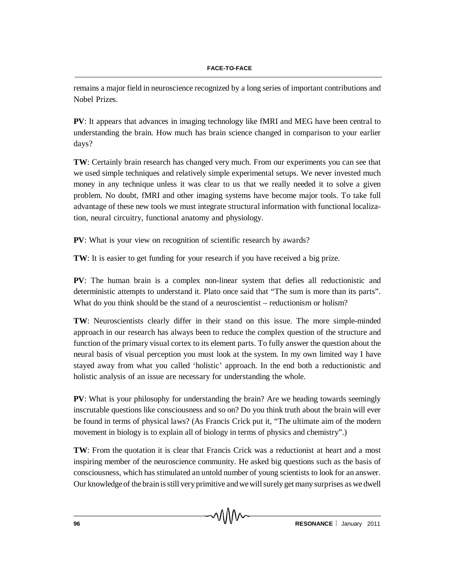remains a major field in neuroscience recognized by a long series of important contributions and Nobel Prizes.

**PV**: It appears that advances in imaging technology like fMRI and MEG have been central to understanding the brain. How much has brain science changed in comparison to your earlier days?

**TW**: Certainly brain research has changed very much. From our experiments you can see that we used simple techniques and relatively simple experimental setups. We never invested much money in any technique unless it was clear to us that we really needed it to solve a given problem. No doubt, fMRI and other imaging systems have become major tools. To take full advantage of these new tools we must integrate structural information with functional localization, neural circuitry, functional anatomy and physiology.

**PV**: What is your view on recognition of scientific research by awards?

**TW**: It is easier to get funding for your research if you have received a big prize.

**PV**: The human brain is a complex non-linear system that defies all reductionistic and deterministic attempts to understand it. Plato once said that "The sum is more than its parts". What do you think should be the stand of a neuroscientist – reductionism or holism?

**TW**: Neuroscientists clearly differ in their stand on this issue. The more simple-minded approach in our research has always been to reduce the complex question of the structure and function of the primary visual cortex to its element parts. To fully answer the question about the neural basis of visual perception you must look at the system. In my own limited way I have stayed away from what you called 'holistic' approach. In the end both a reductionistic and holistic analysis of an issue are necessary for understanding the whole.

**PV**: What is your philosophy for understanding the brain? Are we heading towards seemingly inscrutable questions like consciousness and so on? Do you think truth about the brain will ever be found in terms of physical laws? (As Francis Crick put it, "The ultimate aim of the modern movement in biology is to explain all of biology in terms of physics and chemistry".)

**TW**: From the quotation it is clear that Francis Crick was a reductionist at heart and a most inspiring member of the neuroscience community. He asked big questions such as the basis of consciousness, which has stimulated an untold number of young scientists to look for an answer. Our knowledgeof thebrain is still very primitive and wewill surely get many surprises as we dwell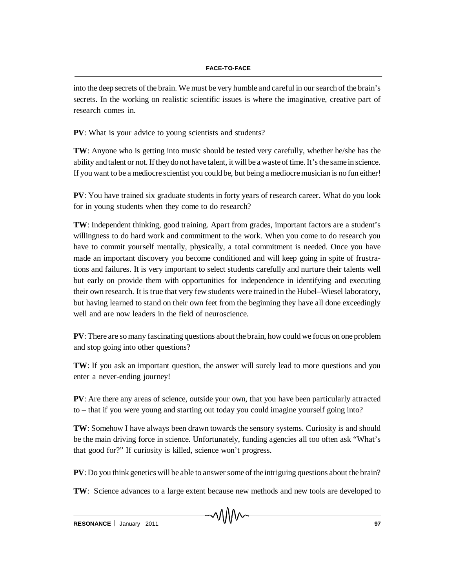into the deep secrets of the brain. We must be very humble and careful in our search of the brain's secrets. In the working on realistic scientific issues is where the imaginative, creative part of research comes in.

**PV**: What is your advice to young scientists and students?

**TW**: Anyone who is getting into music should be tested very carefully, whether he/she has the ability and talent or not. If they do not havetalent, it will be a wasteof time. It's the samein science. If you want to be a mediocre scientist you could be, but being a mediocre musician is no fun either!

**PV**: You have trained six graduate students in forty years of research career. What do you look for in young students when they come to do research?

**TW**: Independent thinking, good training. Apart from grades, important factors are a student's willingness to do hard work and commitment to the work. When you come to do research you have to commit yourself mentally, physically, a total commitment is needed. Once you have made an important discovery you become conditioned and will keep going in spite of frustrations and failures. It is very important to select students carefully and nurture their talents well but early on provide them with opportunities for independence in identifying and executing their own research. It is true that very few students were trained in the Hubel–Wiesel laboratory, but having learned to stand on their own feet from the beginning they have all done exceedingly well and are now leaders in the field of neuroscience.

**PV**: There are so many fascinating questions about the brain, how could we focus on one problem and stop going into other questions?

**TW**: If you ask an important question, the answer will surely lead to more questions and you enter a never-ending journey!

**PV**: Are there any areas of science, outside your own, that you have been particularly attracted to – that if you were young and starting out today you could imagine yourself going into?

**TW**: Somehow I have always been drawn towards the sensory systems. Curiosity is and should be the main driving force in science. Unfortunately, funding agencies all too often ask "What's that good for?" If curiosity is killed, science won't progress.

**PV**: Do you think genetics will be able to answer some of the intriguing questions about the brain?

**TW**: Science advances to a large extent because new methods and new tools are developed to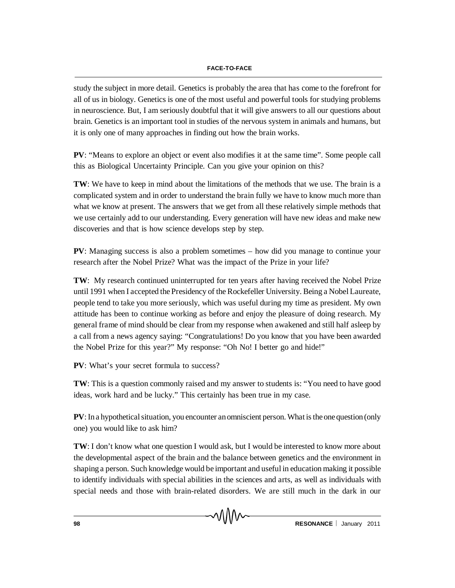study the subject in more detail. Genetics is probably the area that has come to the forefront for all of us in biology. Genetics is one of the most useful and powerful tools for studying problems in neuroscience. But, I am seriously doubtful that it will give answers to all our questions about brain. Genetics is an important tool in studies of the nervous system in animals and humans, but it is only one of many approaches in finding out how the brain works.

**PV**: "Means to explore an object or event also modifies it at the same time". Some people call this as Biological Uncertainty Principle. Can you give your opinion on this?

**TW**: We have to keep in mind about the limitations of the methods that we use. The brain is a complicated system and in order to understand the brain fully we have to know much more than what we know at present. The answers that we get from all these relatively simple methods that we use certainly add to our understanding. Every generation will have new ideas and make new discoveries and that is how science develops step by step.

**PV**: Managing success is also a problem sometimes – how did you manage to continue your research after the Nobel Prize? What was the impact of the Prize in your life?

**TW**: My research continued uninterrupted for ten years after having received the Nobel Prize until 1991 when I accepted the Presidency of the Rockefeller University. Being a Nobel Laureate, people tend to take you more seriously, which was useful during my time as president. My own attitude has been to continue working as before and enjoy the pleasure of doing research. My general frame of mind should be clear from my response when awakened and still half asleep by a call from a news agency saying: "Congratulations! Do you know that you have been awarded the Nobel Prize for this year?" My response: "Oh No! I better go and hide!"

**PV**: What's your secret formula to success?

**TW**: This is a question commonly raised and my answer to students is: "You need to have good ideas, work hard and be lucky." This certainly has been true in my case.

**PV**: In a hypothetical situation, you encounter an omniscient person. What is the one question (only one) you would like to ask him?

**TW**: I don't know what one question I would ask, but I would be interested to know more about the developmental aspect of the brain and the balance between genetics and the environment in shaping a person. Such knowledge would be important and useful in education making it possible to identify individuals with special abilities in the sciences and arts, as well as individuals with special needs and those with brain-related disorders. We are still much in the dark in our